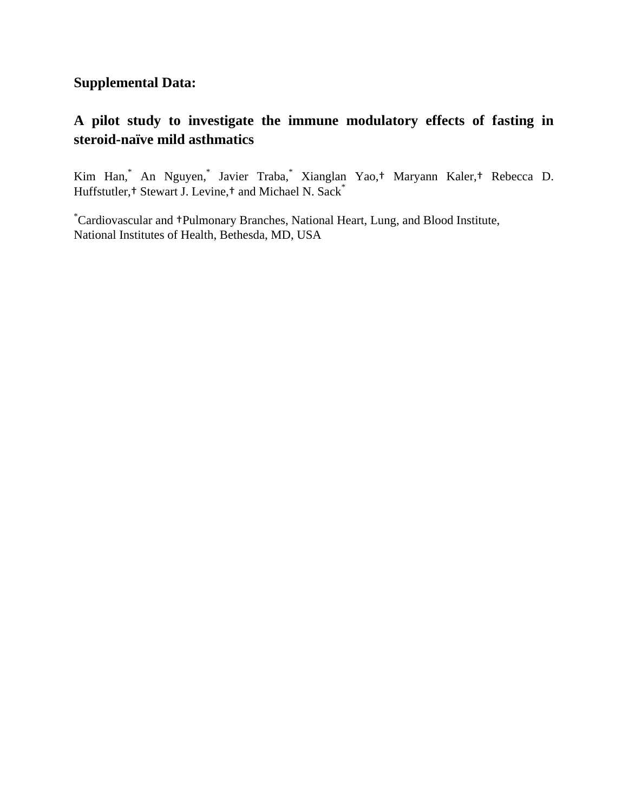## **Supplemental Data:**

## **A pilot study to investigate the immune modulatory effects of fasting in steroid-naïve mild asthmatics**

Kim Han,\* An Nguyen,\* Javier Traba,\* Xianglan Yao,† Maryann Kaler,† Rebecca D. Huffstutler,<sup>†</sup> Stewart J. Levine,† and Michael N. Sack<sup>\*</sup>

\*Cardiovascular and †Pulmonary Branches, National Heart, Lung, and Blood Institute, National Institutes of Health, Bethesda, MD, USA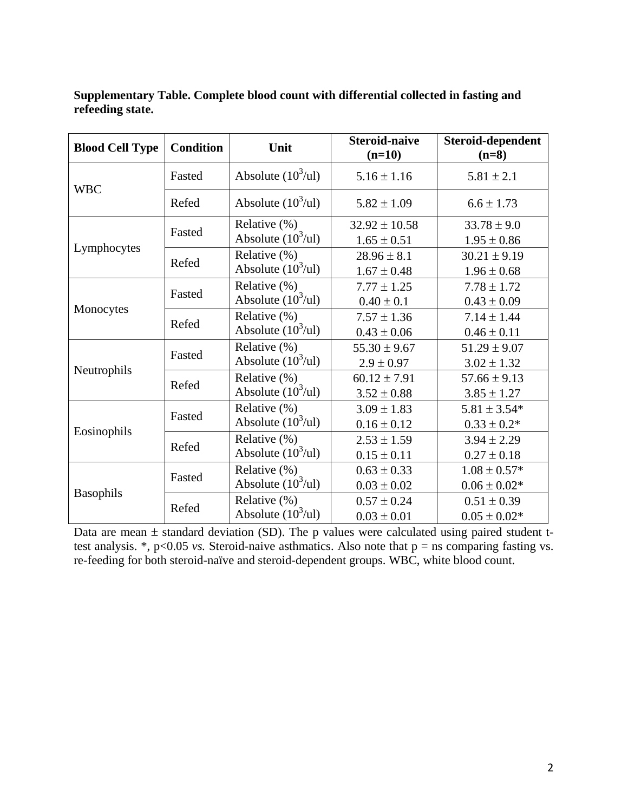| <b>Blood Cell Type</b> | <b>Condition</b> | Unit                                           | <b>Steroid-naive</b><br>$(n=10)$     | Steroid-dependent<br>$(n=8)$         |
|------------------------|------------------|------------------------------------------------|--------------------------------------|--------------------------------------|
| <b>WBC</b>             | Fasted           | Absolute $(10^3/\text{ul})$                    | $5.16 \pm 1.16$                      | $5.81 \pm 2.1$                       |
|                        | Refed            | Absolute $(10^3/\text{ul})$                    | $5.82 \pm 1.09$                      | $6.6 \pm 1.73$                       |
| Lymphocytes            | Fasted           | Relative $(\%)$<br>Absolute $(10^3/\text{ul})$ | $32.92 \pm 10.58$<br>$1.65 \pm 0.51$ | $33.78 \pm 9.0$<br>$1.95 \pm 0.86$   |
|                        | Refed            | Relative (%)<br>Absolute $(10^3/\text{ul})$    | $28.96 \pm 8.1$<br>$1.67 \pm 0.48$   | $30.21 \pm 9.19$<br>$1.96 \pm 0.68$  |
| Monocytes              | Fasted           | Relative (%)<br>Absolute $(10^3/\text{ul})$    | $7.77 \pm 1.25$<br>$0.40 \pm 0.1$    | $7.78 \pm 1.72$<br>$0.43 \pm 0.09$   |
|                        | Refed            | Relative (%)<br>Absolute $(10^3/\text{ul})$    | $7.57 \pm 1.36$<br>$0.43 \pm 0.06$   | $7.14 \pm 1.44$<br>$0.46 \pm 0.11$   |
| Neutrophils            | Fasted           | Relative (%)<br>Absolute $(10^3/\text{ul})$    | $55.30 \pm 9.67$<br>$2.9 \pm 0.97$   | $51.29 \pm 9.07$<br>$3.02 \pm 1.32$  |
|                        | Refed            | Relative (%)<br>Absolute $(10^3/\text{ul})$    | $60.12 \pm 7.91$<br>$3.52 \pm 0.88$  | $57.66 \pm 9.13$<br>$3.85 \pm 1.27$  |
| Eosinophils            | Fasted           | Relative (%)<br>Absolute $(10^3/\text{ul})$    | $3.09 \pm 1.83$<br>$0.16 \pm 0.12$   | $5.81 \pm 3.54*$<br>$0.33 \pm 0.2*$  |
|                        | Refed            | Relative (%)<br>Absolute $(10^3/\text{ul})$    | $2.53 \pm 1.59$<br>$0.15 \pm 0.11$   | $3.94 \pm 2.29$<br>$0.27 \pm 0.18$   |
| <b>Basophils</b>       | Fasted           | Relative (%)<br>Absolute $(10^3/\text{ul})$    | $0.63 \pm 0.33$<br>$0.03 \pm 0.02$   | $1.08 \pm 0.57*$<br>$0.06 \pm 0.02*$ |
|                        | Refed            | Relative (%)<br>Absolute $(10^3/\text{ul})$    | $0.57 \pm 0.24$<br>$0.03 \pm 0.01$   | $0.51 \pm 0.39$<br>$0.05 \pm 0.02*$  |

### **Supplementary Table. Complete blood count with differential collected in fasting and refeeding state.**

Data are mean  $\pm$  standard deviation (SD). The p values were calculated using paired student ttest analysis.  $*$ ,  $p<0.05$  *vs.* Steroid-naive asthmatics. Also note that  $p =$  ns comparing fasting vs. re-feeding for both steroid-naïve and steroid-dependent groups. WBC, white blood count.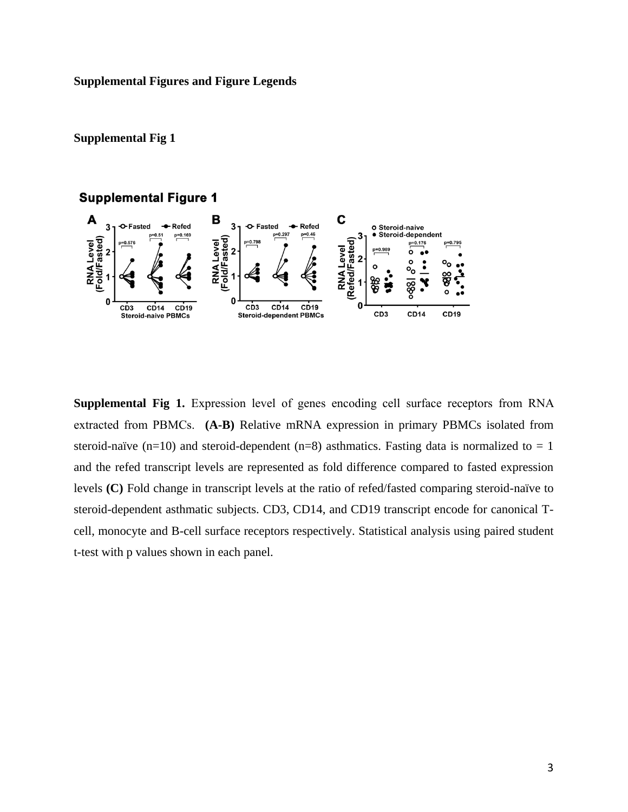#### **Supplemental Figures and Figure Legends**

#### **Supplemental Fig 1**

#### **Supplemental Figure 1**



**Supplemental Fig 1.** Expression level of genes encoding cell surface receptors from RNA extracted from PBMCs. **(A-B)** Relative mRNA expression in primary PBMCs isolated from steroid-naïve (n=10) and steroid-dependent (n=8) asthmatics. Fasting data is normalized to = 1 and the refed transcript levels are represented as fold difference compared to fasted expression levels **(C)** Fold change in transcript levels at the ratio of refed/fasted comparing steroid-naïve to steroid-dependent asthmatic subjects. CD3, CD14, and CD19 transcript encode for canonical Tcell, monocyte and B-cell surface receptors respectively. Statistical analysis using paired student t-test with p values shown in each panel.